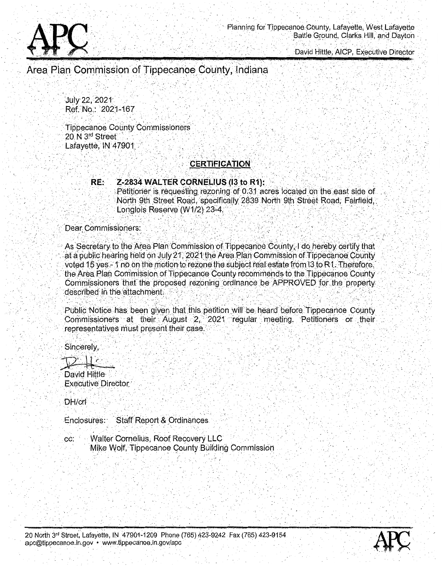David Hittle, AICP, Executive Director

## Area Plan Commission of Tippecanoe County, Indiana

July 22, 2021 Ref. No.: 2021-167

**Tippecanoe County Commissioners** 20 N 3rd Street Lafayette, IN 47901

### **CERTIFICATION**

#### Z-2834 WALTER CORNELIUS (13 to R1): RE.

Petitioner is requesting rezoning of 0.31 acres located on the east side of North 9th Street Road, specifically 2839 North 9th Street Road, Fairfield. Longlois Reserve (W1/2) 23-4.

Dear Commissioners:

As Secretary to the Area Plan Commission of Tippecanoe County, I do hereby certify that at a public hearing held on July 21, 2021 the Area Plan Commission of Tippecanoe County voted 15 yes - 1 no on the motion to rezone the subject real estate from 13 to R1. Therefore, the Area Plan Commission of Tippecanoe County recommends to the Tippecanoe County Commissioners that the proposed rezoning ordinance be APPROVED for the property described in the attachment.

Public Notice has been given that this petition will be heard before Tippecanoe County Commissioners at their August 2, 2021 regular meeting. Petitioners or their representatives must present their case.

Sincerely.

David Hittle Executive Director

DH/crl

CC.

**Staff Report & Ordinances** Enclosures:

Walter Cornelius, Roof Recovery LLC Mike Wolf, Tippecanoe County Building Commission

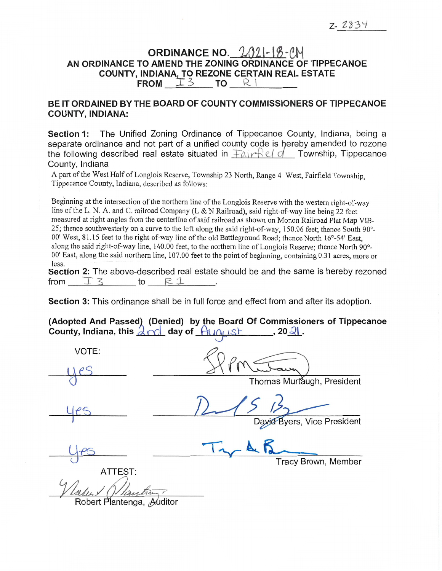# **ORDINANCE NO. 2021-18-04** AN ORDINANCE TO AMEND THE ZONING **ORDINANCE** OF **TIPPECANOE COUNTY, INDIANA, TO REZONE CERTAIN REAL ESTATE**<br>**FROM**  $\begin{matrix} \perp & \sim & \sim & \mathbb{R} \end{matrix}$

### BE IT ORDAINED BY THE **BOARD** OF **COUNTY** COMMISSIONERS OF TIPPECANOE **COUNTY, INDIANA:**

**Section** 1: The Unified Zoning Ordinance of Tippecanoe **County,** Indiana, being **<sup>a</sup>** separate ordinance and not part of a unified county code is hereby amended to rezone the following described real estate situated in  $\exists$  and  $\forall$  **Township**, Tippecanoe **County,** Indiana

<sup>A</sup>part of the West Half of Longlois **Reserve,** Township 23 **North,** Range 4 **West,** Fairfield Township, Tippecanoe County, Indiana, described as follows:

Beginning at the intersection of the northern line of the Longlois Reserve with the western right-of-way line of the L. N. A. and C. railroad Company (L & N Railroad), **said** right-of-way line being 22 feet measured at right angles from the centerline of **said** railroad as shown on Monon Railroad Plat Map VIB-25; thence southwesterly on a curve to the **left** along the said right-of-way, 150.06 feet; thence South 90°- 00' West, 81.15 feet to the right-of-way **line** of the old Battleground Road; thence North 16°-54' East, along the said right-of-way line, 140.00 feet, to the northern line of Longlois **Reserve;** thence North 90°- 00' East, along the said northern **line,** 107.00 feet to the point of beginning, containing 0.31 **acres,** more or **less.** *'* 

**Section** 2: The above-described real estate should be and the *same* is hereby rezoned from  $\Box$  3 to  $R1$ 

**Section** 3: **This** ordinance shall be in full force and effect from and **after** its **adoption.** 

**(Adopted** And **Passed** (D **nied)** by the **Board** Of **Commissioners** of **Tippecanoe County, Indiana, this**  $\frac{\partial}{\partial t}$  **day of**  $\frac{\partial}{\partial t}$   $\frac{\partial}{\partial s}$  =  $\frac{20}{\sqrt{3}}$ .

VOTE:  $\mathscr{O}_{\bigcap}$ Thomas Murtáugh, President \_\_L;r§\_\_ *Wf/A/*  David Byers, Vice President  $105$  Tyck $R$ Tracy **Brown,** Member ATTEST: */*  **Robert Plantenga, Auditor**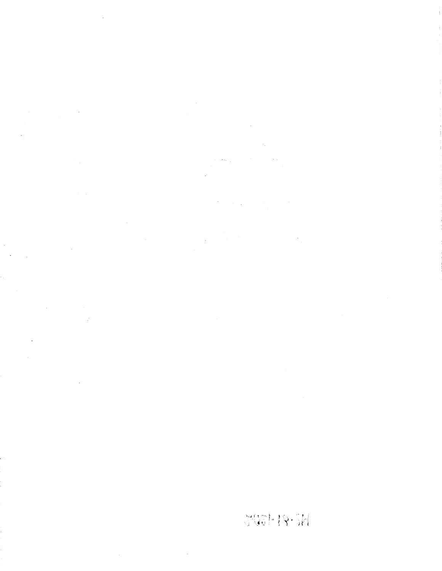$\label{eq:2.1} \mathcal{L}(\mathcal{L}^{\text{max}}_{\mathcal{L}}(\mathcal{L}^{\text{max}}_{\mathcal{L}})) \leq \mathcal{L}(\mathcal{L}^{\text{max}}_{\mathcal{L}}(\mathcal{L}^{\text{max}}_{\mathcal{L}}))$ 

 $\label{eq:2.1} \frac{1}{2}\sum_{i=1}^n\frac{1}{2}\sum_{j=1}^n\frac{1}{2}\sum_{j=1}^n\frac{1}{2}\sum_{j=1}^n\frac{1}{2}\sum_{j=1}^n\frac{1}{2}\sum_{j=1}^n\frac{1}{2}\sum_{j=1}^n\frac{1}{2}\sum_{j=1}^n\frac{1}{2}\sum_{j=1}^n\frac{1}{2}\sum_{j=1}^n\frac{1}{2}\sum_{j=1}^n\frac{1}{2}\sum_{j=1}^n\frac{1}{2}\sum_{j=1}^n\frac{1}{2}\sum_{j=1}^n\$  $\label{eq:2.1} \frac{1}{\sqrt{2}}\left(\frac{1}{\sqrt{2}}\right)^{2} \left(\frac{1}{\sqrt{2}}\right)^{2} \left(\frac{1}{\sqrt{2}}\right)^{2} \left(\frac{1}{\sqrt{2}}\right)^{2} \left(\frac{1}{\sqrt{2}}\right)^{2} \left(\frac{1}{\sqrt{2}}\right)^{2} \left(\frac{1}{\sqrt{2}}\right)^{2} \left(\frac{1}{\sqrt{2}}\right)^{2} \left(\frac{1}{\sqrt{2}}\right)^{2} \left(\frac{1}{\sqrt{2}}\right)^{2} \left(\frac{1}{\sqrt{2}}\right)^{2} \left(\$  $\label{eq:2.1} \frac{1}{\sqrt{2}}\sum_{i=1}^n\frac{1}{\sqrt{2}}\sum_{i=1}^n\frac{1}{\sqrt{2}}\sum_{i=1}^n\frac{1}{\sqrt{2}}\sum_{i=1}^n\frac{1}{\sqrt{2}}\sum_{i=1}^n\frac{1}{\sqrt{2}}\sum_{i=1}^n\frac{1}{\sqrt{2}}\sum_{i=1}^n\frac{1}{\sqrt{2}}\sum_{i=1}^n\frac{1}{\sqrt{2}}\sum_{i=1}^n\frac{1}{\sqrt{2}}\sum_{i=1}^n\frac{1}{\sqrt{2}}\sum_{i=1}^n\frac$  $\label{eq:2.1} \frac{1}{\sqrt{2}}\int_{\mathbb{R}^3}\frac{1}{\sqrt{2}}\left(\frac{1}{\sqrt{2}}\right)^2\frac{1}{\sqrt{2}}\left(\frac{1}{\sqrt{2}}\right)^2\frac{1}{\sqrt{2}}\left(\frac{1}{\sqrt{2}}\right)^2.$  $\label{eq:2.1} \begin{split} \mathcal{L}_{\text{max}}(\mathcal{L}_{\text{max}}(\mathbf{r},\mathbf{r})) = \mathcal{L}_{\text{max}}(\mathbf{r},\mathbf{r}) \mathcal{L}_{\text{max}}(\mathbf{r},\mathbf{r}) \\ = \mathcal{L}_{\text{max}}(\mathbf{r},\mathbf{r}) \mathcal{L}_{\text{max}}(\mathbf{r},\mathbf{r}) \mathcal{L}_{\text{max}}(\mathbf{r},\mathbf{r}) \mathcal{L}_{\text{max}}(\mathbf{r},\mathbf{r}) \mathcal{L}_{\text{max}}(\mathbf{r},\mathbf{r}) \mathcal{L}_{\text$  $\frac{1}{2} \frac{1}{2} \frac{1}{2} \frac{1}{2} \frac{1}{2} \frac{1}{2}$ 

> $\label{eq:2.1} \frac{1}{2} \sum_{i=1}^n \frac{1}{2} \sum_{j=1}^n \frac{1}{2} \sum_{j=1}^n \frac{1}{2} \sum_{j=1}^n \frac{1}{2} \sum_{j=1}^n \frac{1}{2} \sum_{j=1}^n \frac{1}{2} \sum_{j=1}^n \frac{1}{2} \sum_{j=1}^n \frac{1}{2} \sum_{j=1}^n \frac{1}{2} \sum_{j=1}^n \frac{1}{2} \sum_{j=1}^n \frac{1}{2} \sum_{j=1}^n \frac{1}{2} \sum_{j=1}^n \frac{$

a<br>Salah

 $\label{eq:2.1} \begin{split} \mathcal{L}_{\text{max}}(\mathbf{r},\mathbf{r}) & = \mathcal{L}_{\text{max}}(\mathbf{r},\mathbf{r}) \\ & = \mathcal{L}_{\text{max}}(\mathbf{r},\mathbf{r}) \\ & = \mathcal{L}_{\text{max}}(\mathbf{r},\mathbf{r}) \end{split}$  $\label{eq:2.1} \frac{1}{\sqrt{2}}\int_{\mathbb{R}^3} \left|\frac{d\mu}{d\mu}\right|^2 \, d\mu = \frac{1}{2}\int_{\mathbb{R}^3} \left|\frac{d\mu}{d\mu}\right|^2 \, d\mu = \frac{1}{2}\int_{\mathbb{R}^3} \left|\frac{d\mu}{d\mu}\right|^2 \, d\mu.$ 

 $\label{eq:2.1} \frac{1}{\sqrt{2}}\int_{\mathbb{R}^3}\frac{1}{\sqrt{2}}\left(\frac{1}{\sqrt{2}}\right)^2\frac{1}{\sqrt{2}}\left(\frac{1}{\sqrt{2}}\right)^2\frac{1}{\sqrt{2}}\left(\frac{1}{\sqrt{2}}\right)^2\frac{1}{\sqrt{2}}\left(\frac{1}{\sqrt{2}}\right)^2.$ 

 $\label{eq:1} \begin{aligned} \mathbf{b}^{(1)}_{\mathbf{b}} & = \mathbf{b}^{(1)}_{\mathbf{b}} \mathbf{b}^{(1)}_{\mathbf{b}} \\ & = \mathbf{b}^{(1)}_{\mathbf{b}} \mathbf{b}^{(1)}_{\mathbf{b}} \mathbf{b}^{(1)}_{\mathbf{b}} \mathbf{b}^{(1)}_{\mathbf{b}} \mathbf{b}^{(1)}_{\mathbf{b}} \mathbf{b}^{(1)}_{\mathbf{b}} \mathbf{b}^{(1)}_{\mathbf{b}} \mathbf{b}^{(1)}_{\mathbf{b}} \mathbf{b}^{(1)}_{\mathbf{b$ 

 $\left\langle \left\langle \left\langle \mathbf{y}_{0}\right\rangle \right\rangle \right\rangle \left\langle \mathbf{y}_{0}\right\rangle \right\rangle \left\langle \mathbf{y}\right\rangle \left\langle \mathbf{y}\right\rangle$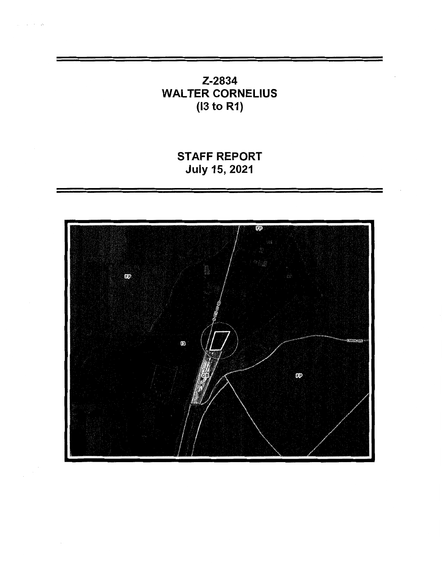**Z-2834 WALTER** CORNELIUS **(l3 to R1)** 

> **STAFF** REPORT **July 15, 2021**

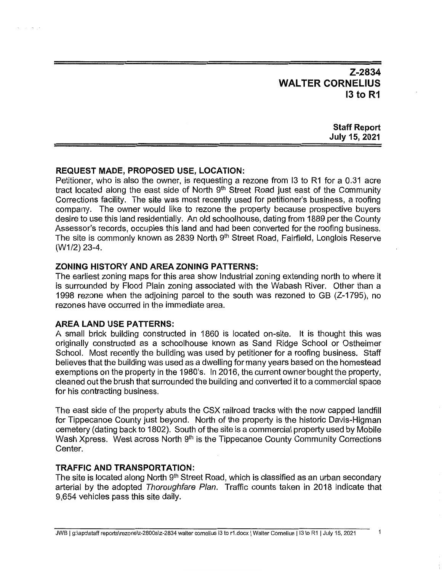### **Z-2834 WALTER** CORNELIUS l3 to R1

**Staff Report July** 15, **2021** 

#### **REQUEST MADE, PROPOSED USE, LOCATION:**

**Petitioner,** who is also the owner, is requesting a rezone **from** I3 to R1 for a 0.31 acre tract located along the **east** side of North 9th **Street** Road **just east** of the Community Corrections facility. The site was **most** recently **used** for **petitioner's** business, a roofing company. The owner would like to rezone the property because prospective buyers desire to use **this** land residentially. An old **schoolhouse, dating** from 1889 per the County Assessor's **records, occupies this** land and had been converted for the roofing **business.**  The **site** is commonly known as 2839 North 9'" Street Road, Fairfield, Longlois Reserve (W1/2) 23-4.

#### ZONING **HISTORY** AND AREA **ZONING PATTERNS:**

The earliest zoning **maps** for **this** area show **Industrial** zoning extending **north** to where it is surrounded by Flood Plain zoning associated with the Wabash River. Other **than** a 1998 rezone when the adjoining parcel to the **south** was **rezoned** to GB (Z-1795), no rezones have occurred in the immediate area.

#### AREA LAND USE **PATTERNS:**

A small brick building **constructed** in 1860 is located **on-site.** It is thought **this** was originally **constructed** as a schoolhouse known as Sand **Ridge** School or Ostheimer School. Most recently the building was **used** by petitioner for a roofing **business.** Staff believes **that** the building was used as a dwelling for many years based on the homestead exemptions on the property in the **1980's.** In 2016, the current owner **bought** the **property,**  cleaned out the brush **that** surrounded the building and converted it to a commercial space for his contracting **business.** 

The east **side** of the property abuts the CSX railroad tracks with the now capped landfill for Tippecanoe County **just** beyond. North of the property is the historic Davis-Higman cemetery (dating back to 1802). South of the **site** is a commercial property **used** by Mobile Wash Xpress. West across North 9<sup>th</sup> is the Tippecanoe County Community Corrections Center.

#### **TRAFFIC** AND **TRANSPORTATION:**

The **site** is located along North 9th **Street** Road, which is classified as an urban secondary arterial by the adopted *Thoroughfare Plan.* Traffic counts taken in 2018 **indicate** that **9,654** vehicles **pass** this **site** daily.